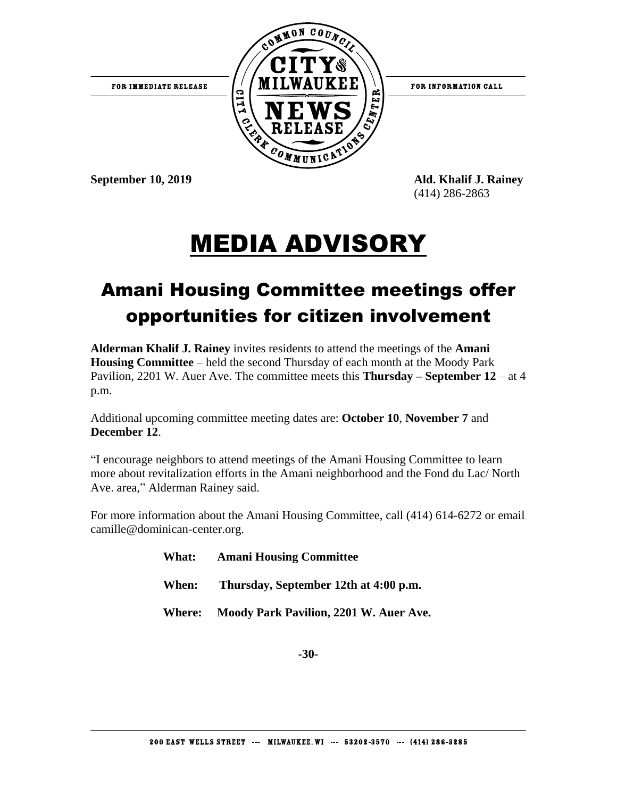

(414) 286-2863

## MEDIA ADVISORY

## Amani Housing Committee meetings offer opportunities for citizen involvement

**Alderman Khalif J. Rainey** invites residents to attend the meetings of the **Amani Housing Committee** – held the second Thursday of each month at the Moody Park Pavilion, 2201 W. Auer Ave. The committee meets this **Thursday – September 12** – at 4 p.m.

Additional upcoming committee meeting dates are: **October 10**, **November 7** and **December 12**.

"I encourage neighbors to attend meetings of the Amani Housing Committee to learn more about revitalization efforts in the Amani neighborhood and the Fond du Lac/ North Ave. area," Alderman Rainey said.

For more information about the Amani Housing Committee, call (414) 614-6272 or email camille@dominican-center.org.

| <b>What:</b> | <b>Amani Housing Committee</b>                |
|--------------|-----------------------------------------------|
|              | When: Thursday, September 12th at 4:00 p.m.   |
|              | Where: Moody Park Pavilion, 2201 W. Auer Ave. |

**-30-**